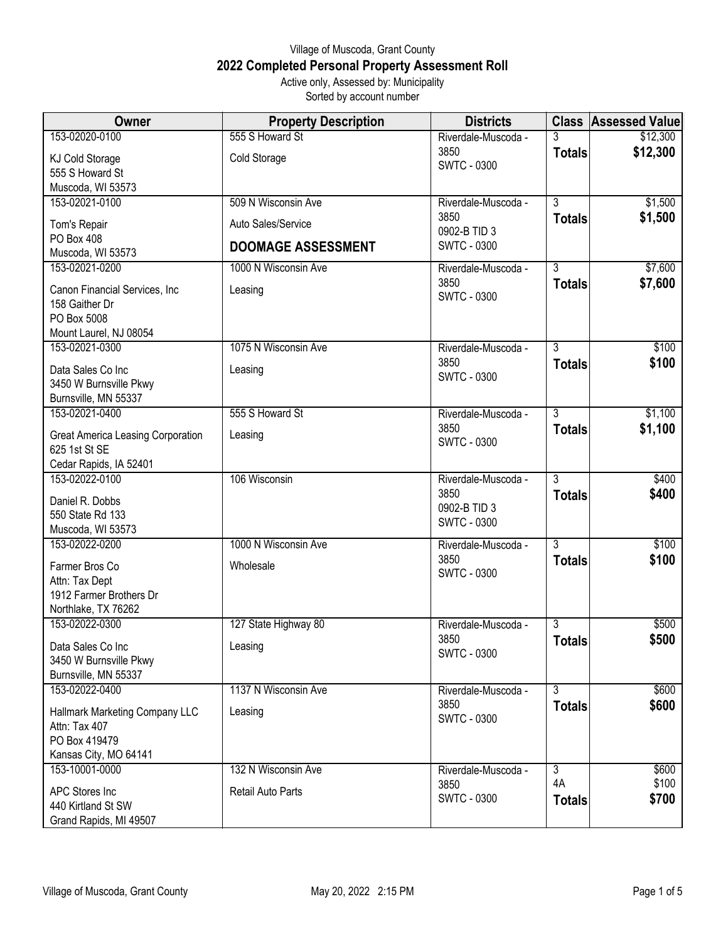## Village of Muscoda, Grant County **2022 Completed Personal Property Assessment Roll** Active only, Assessed by: Municipality

Sorted by account number

| <b>Owner</b>                                     | <b>Property Description</b> | <b>Districts</b>     |                | <b>Class Assessed Value</b> |
|--------------------------------------------------|-----------------------------|----------------------|----------------|-----------------------------|
| 153-02020-0100                                   | 555 S Howard St             | Riverdale-Muscoda -  |                | \$12,300                    |
| KJ Cold Storage                                  | Cold Storage                | 3850                 | <b>Totals</b>  | \$12,300                    |
| 555 S Howard St                                  |                             | <b>SWTC - 0300</b>   |                |                             |
| Muscoda, WI 53573                                |                             |                      |                |                             |
| 153-02021-0100                                   | 509 N Wisconsin Ave         | Riverdale-Muscoda -  | $\overline{3}$ | \$1,500                     |
| Tom's Repair                                     | Auto Sales/Service          | 3850                 | <b>Totals</b>  | \$1,500                     |
| PO Box 408                                       |                             | 0902-B TID 3         |                |                             |
| Muscoda, WI 53573                                | <b>DOOMAGE ASSESSMENT</b>   | <b>SWTC - 0300</b>   |                |                             |
| 153-02021-0200                                   | 1000 N Wisconsin Ave        | Riverdale-Muscoda -  | $\overline{3}$ | \$7,600                     |
|                                                  |                             | 3850                 | <b>Totals</b>  | \$7,600                     |
| Canon Financial Services, Inc.<br>158 Gaither Dr | Leasing                     | <b>SWTC - 0300</b>   |                |                             |
| PO Box 5008                                      |                             |                      |                |                             |
| Mount Laurel, NJ 08054                           |                             |                      |                |                             |
| 153-02021-0300                                   | 1075 N Wisconsin Ave        | Riverdale-Muscoda -  | $\overline{3}$ | \$100                       |
|                                                  |                             | 3850                 | <b>Totals</b>  | \$100                       |
| Data Sales Co Inc                                | Leasing                     | <b>SWTC - 0300</b>   |                |                             |
| 3450 W Burnsville Pkwy<br>Burnsville, MN 55337   |                             |                      |                |                             |
| 153-02021-0400                                   | 555 S Howard St             | Riverdale-Muscoda -  | $\overline{3}$ | \$1,100                     |
|                                                  |                             | 3850                 | <b>Totals</b>  | \$1,100                     |
| Great America Leasing Corporation                | Leasing                     | <b>SWTC - 0300</b>   |                |                             |
| 625 1st St SE                                    |                             |                      |                |                             |
| Cedar Rapids, IA 52401                           |                             |                      |                |                             |
| 153-02022-0100                                   | 106 Wisconsin               | Riverdale-Muscoda -  | $\overline{3}$ | \$400                       |
| Daniel R. Dobbs                                  |                             | 3850<br>0902-B TID 3 | <b>Totals</b>  | \$400                       |
| 550 State Rd 133                                 |                             | <b>SWTC - 0300</b>   |                |                             |
| Muscoda, WI 53573                                |                             |                      |                |                             |
| 153-02022-0200                                   | 1000 N Wisconsin Ave        | Riverdale-Muscoda -  | $\overline{3}$ | \$100                       |
| Farmer Bros Co                                   | Wholesale                   | 3850                 | <b>Totals</b>  | \$100                       |
| Attn: Tax Dept                                   |                             | <b>SWTC - 0300</b>   |                |                             |
| 1912 Farmer Brothers Dr                          |                             |                      |                |                             |
| Northlake, TX 76262                              |                             |                      |                |                             |
| 153-02022-0300                                   | 127 State Highway 80        | Riverdale-Muscoda -  | $\overline{3}$ | \$500                       |
| Data Sales Co Inc                                | Leasing                     | 3850                 | <b>Totals</b>  | \$500                       |
| 3450 W Burnsville Pkwy                           |                             | <b>SWTC - 0300</b>   |                |                             |
| Burnsville, MN 55337                             |                             |                      |                |                             |
| 153-02022-0400                                   | 1137 N Wisconsin Ave        | Riverdale-Muscoda -  | $\overline{3}$ | \$600                       |
| Hallmark Marketing Company LLC                   | Leasing                     | 3850                 | <b>Totals</b>  | \$600                       |
| Attn: Tax 407                                    |                             | <b>SWTC - 0300</b>   |                |                             |
| PO Box 419479                                    |                             |                      |                |                             |
| Kansas City, MO 64141                            |                             |                      |                |                             |
| 153-10001-0000                                   | 132 N Wisconsin Ave         | Riverdale-Muscoda -  | 3              | \$600                       |
| APC Stores Inc                                   | Retail Auto Parts           | 3850                 | 4A             | \$100                       |
| 440 Kirtland St SW                               |                             | <b>SWTC - 0300</b>   | <b>Totals</b>  | \$700                       |
| Grand Rapids, MI 49507                           |                             |                      |                |                             |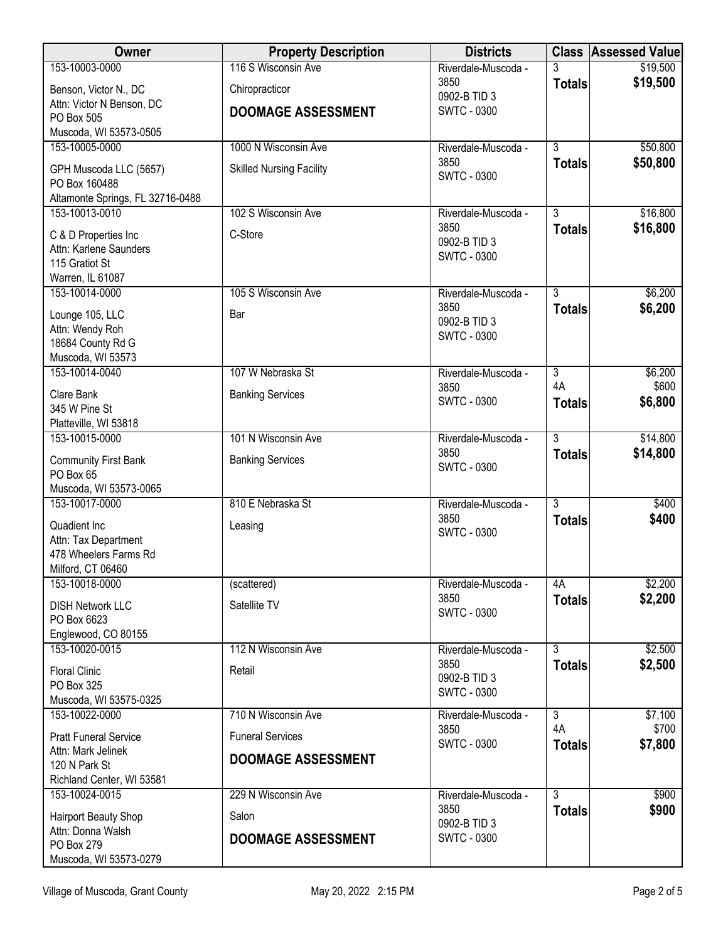| Owner                                      | <b>Property Description</b>     | <b>Districts</b>            |                     | <b>Class Assessed Value</b> |
|--------------------------------------------|---------------------------------|-----------------------------|---------------------|-----------------------------|
| 153-10003-0000                             | 116 S Wisconsin Ave             | Riverdale-Muscoda -         | 3                   | \$19,500                    |
| Benson, Victor N., DC                      | Chiropracticor                  | 3850<br>0902-B TID 3        | <b>Totals</b>       | \$19,500                    |
| Attn: Victor N Benson, DC                  | <b>DOOMAGE ASSESSMENT</b>       | <b>SWTC - 0300</b>          |                     |                             |
| PO Box 505<br>Muscoda, WI 53573-0505       |                                 |                             |                     |                             |
| 153-10005-0000                             | 1000 N Wisconsin Ave            | Riverdale-Muscoda -         | $\overline{3}$      | \$50,800                    |
| GPH Muscoda LLC (5657)                     | <b>Skilled Nursing Facility</b> | 3850                        | <b>Totals</b>       | \$50,800                    |
| PO Box 160488                              |                                 | <b>SWTC - 0300</b>          |                     |                             |
| Altamonte Springs, FL 32716-0488           |                                 |                             |                     |                             |
| 153-10013-0010                             | 102 S Wisconsin Ave             | Riverdale-Muscoda -         | $\overline{3}$      | \$16,800                    |
| C & D Properties Inc                       | C-Store                         | 3850<br>0902-B TID 3        | <b>Totals</b>       | \$16,800                    |
| Attn: Karlene Saunders                     |                                 | <b>SWTC - 0300</b>          |                     |                             |
| 115 Gratiot St<br>Warren, IL 61087         |                                 |                             |                     |                             |
| 153-10014-0000                             | 105 S Wisconsin Ave             | Riverdale-Muscoda -         | 3                   | \$6,200                     |
|                                            |                                 | 3850                        | <b>Totals</b>       | \$6,200                     |
| Lounge 105, LLC<br>Attn: Wendy Roh         | Bar                             | 0902-B TID 3                |                     |                             |
| 18684 County Rd G                          |                                 | <b>SWTC - 0300</b>          |                     |                             |
| Muscoda, WI 53573                          |                                 |                             |                     |                             |
| 153-10014-0040                             | 107 W Nebraska St               | Riverdale-Muscoda -         | $\overline{3}$      | \$6,200                     |
| Clare Bank                                 | <b>Banking Services</b>         | 3850<br><b>SWTC - 0300</b>  | 4A<br><b>Totals</b> | \$600<br>\$6,800            |
| 345 W Pine St                              |                                 |                             |                     |                             |
| Platteville, WI 53818<br>153-10015-0000    | 101 N Wisconsin Ave             | Riverdale-Muscoda -         | $\overline{3}$      | \$14,800                    |
|                                            |                                 | 3850                        | <b>Totals</b>       | \$14,800                    |
| <b>Community First Bank</b><br>PO Box 65   | <b>Banking Services</b>         | <b>SWTC - 0300</b>          |                     |                             |
| Muscoda, WI 53573-0065                     |                                 |                             |                     |                             |
| 153-10017-0000                             | 810 E Nebraska St               | Riverdale-Muscoda -         | $\overline{3}$      | \$400                       |
| Quadient Inc                               | Leasing                         | 3850                        | <b>Totals</b>       | \$400                       |
| Attn: Tax Department                       |                                 | <b>SWTC - 0300</b>          |                     |                             |
| 478 Wheelers Farms Rd                      |                                 |                             |                     |                             |
| Milford, CT 06460                          |                                 |                             |                     |                             |
| 153-10018-0000                             | (scattered)                     | Riverdale-Muscoda -<br>3850 | 4A                  | \$2,200<br>\$2,200          |
| <b>DISH Network LLC</b>                    | Satellite TV                    | <b>SWTC - 0300</b>          | <b>Totals</b>       |                             |
| PO Box 6623<br>Englewood, CO 80155         |                                 |                             |                     |                             |
| 153-10020-0015                             | 112 N Wisconsin Ave             | Riverdale-Muscoda -         | $\overline{3}$      | \$2,500                     |
| <b>Floral Clinic</b>                       | Retail                          | 3850                        | <b>Totals</b>       | \$2,500                     |
| PO Box 325                                 |                                 | 0902-B TID 3                |                     |                             |
| Muscoda, WI 53575-0325                     |                                 | <b>SWTC - 0300</b>          |                     |                             |
| 153-10022-0000                             | 710 N Wisconsin Ave             | Riverdale-Muscoda -         | $\overline{3}$      | \$7,100                     |
| <b>Pratt Funeral Service</b>               | <b>Funeral Services</b>         | 3850<br><b>SWTC - 0300</b>  | 4A<br><b>Totals</b> | \$700<br>\$7,800            |
| Attn: Mark Jelinek                         | <b>DOOMAGE ASSESSMENT</b>       |                             |                     |                             |
| 120 N Park St<br>Richland Center, WI 53581 |                                 |                             |                     |                             |
| 153-10024-0015                             | 229 N Wisconsin Ave             | Riverdale-Muscoda -         | $\overline{3}$      | \$900                       |
| Hairport Beauty Shop                       | Salon                           | 3850                        | <b>Totals</b>       | \$900                       |
| Attn: Donna Walsh                          |                                 | 0902-B TID 3                |                     |                             |
| PO Box 279                                 | <b>DOOMAGE ASSESSMENT</b>       | <b>SWTC - 0300</b>          |                     |                             |
| Muscoda, WI 53573-0279                     |                                 |                             |                     |                             |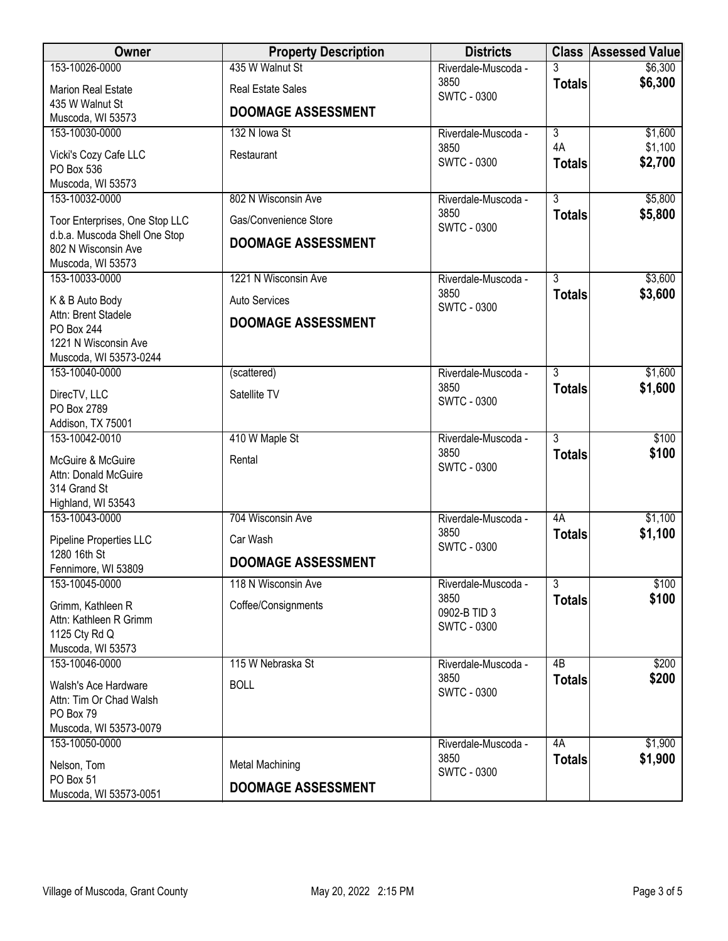| Owner                                          | <b>Property Description</b> | <b>Districts</b>            |                           | <b>Class Assessed Value</b> |
|------------------------------------------------|-----------------------------|-----------------------------|---------------------------|-----------------------------|
| 153-10026-0000                                 | 435 W Walnut St             | Riverdale-Muscoda -         | 3                         | \$6,300                     |
| <b>Marion Real Estate</b>                      | <b>Real Estate Sales</b>    | 3850<br><b>SWTC - 0300</b>  | <b>Totals</b>             | \$6,300                     |
| 435 W Walnut St                                | <b>DOOMAGE ASSESSMENT</b>   |                             |                           |                             |
| Muscoda, WI 53573<br>153-10030-0000            | 132 N Iowa St               | Riverdale-Muscoda -         | $\overline{\overline{3}}$ | \$1,600                     |
|                                                | Restaurant                  | 3850                        | 4A                        | \$1,100                     |
| Vicki's Cozy Cafe LLC<br>PO Box 536            |                             | <b>SWTC - 0300</b>          | <b>Totals</b>             | \$2,700                     |
| Muscoda, WI 53573                              |                             |                             |                           |                             |
| 153-10032-0000                                 | 802 N Wisconsin Ave         | Riverdale-Muscoda -         | $\overline{3}$            | \$5,800                     |
| Toor Enterprises, One Stop LLC                 | Gas/Convenience Store       | 3850<br><b>SWTC - 0300</b>  | <b>Totals</b>             | \$5,800                     |
| d.b.a. Muscoda Shell One Stop                  | <b>DOOMAGE ASSESSMENT</b>   |                             |                           |                             |
| 802 N Wisconsin Ave<br>Muscoda, WI 53573       |                             |                             |                           |                             |
| 153-10033-0000                                 | 1221 N Wisconsin Ave        | Riverdale-Muscoda -         | $\overline{3}$            | \$3,600                     |
| K & B Auto Body                                | <b>Auto Services</b>        | 3850                        | <b>Totals</b>             | \$3,600                     |
| Attn: Brent Stadele                            | <b>DOOMAGE ASSESSMENT</b>   | <b>SWTC - 0300</b>          |                           |                             |
| PO Box 244                                     |                             |                             |                           |                             |
| 1221 N Wisconsin Ave<br>Muscoda, WI 53573-0244 |                             |                             |                           |                             |
| 153-10040-0000                                 | (scattered)                 | Riverdale-Muscoda -         | $\overline{3}$            | \$1,600                     |
| DirecTV, LLC                                   | Satellite TV                | 3850                        | <b>Totals</b>             | \$1,600                     |
| PO Box 2789                                    |                             | <b>SWTC - 0300</b>          |                           |                             |
| Addison, TX 75001                              |                             |                             |                           |                             |
| 153-10042-0010                                 | 410 W Maple St              | Riverdale-Muscoda -         | $\overline{3}$            | \$100                       |
| McGuire & McGuire                              | Rental                      | 3850<br><b>SWTC - 0300</b>  | <b>Totals</b>             | \$100                       |
| Attn: Donald McGuire                           |                             |                             |                           |                             |
| 314 Grand St<br>Highland, WI 53543             |                             |                             |                           |                             |
| 153-10043-0000                                 | 704 Wisconsin Ave           | Riverdale-Muscoda -         | 4A                        | \$1,100                     |
| Pipeline Properties LLC                        | Car Wash                    | 3850                        | <b>Totals</b>             | \$1,100                     |
| 1280 16th St                                   | <b>DOOMAGE ASSESSMENT</b>   | <b>SWTC - 0300</b>          |                           |                             |
| Fennimore, WI 53809                            |                             |                             |                           |                             |
| 153-10045-0000                                 | 118 N Wisconsin Ave         | Riverdale-Muscoda -<br>3850 | $\overline{3}$            | \$100<br>\$100              |
| Grimm, Kathleen R                              | Coffee/Consignments         | 0902-B TID 3                | <b>Totals</b>             |                             |
| Attn: Kathleen R Grimm<br>1125 Cty Rd Q        |                             | <b>SWTC - 0300</b>          |                           |                             |
| Muscoda, WI 53573                              |                             |                             |                           |                             |
| 153-10046-0000                                 | 115 W Nebraska St           | Riverdale-Muscoda -         | 4B                        | \$200                       |
| Walsh's Ace Hardware                           | <b>BOLL</b>                 | 3850                        | <b>Totals</b>             | \$200                       |
| Attn: Tim Or Chad Walsh                        |                             | <b>SWTC - 0300</b>          |                           |                             |
| PO Box 79                                      |                             |                             |                           |                             |
| Muscoda, WI 53573-0079<br>153-10050-0000       |                             | Riverdale-Muscoda -         | 4A                        | \$1,900                     |
|                                                |                             | 3850                        | <b>Totals</b>             | \$1,900                     |
| Nelson, Tom<br>PO Box 51                       | <b>Metal Machining</b>      | <b>SWTC - 0300</b>          |                           |                             |
| Muscoda, WI 53573-0051                         | <b>DOOMAGE ASSESSMENT</b>   |                             |                           |                             |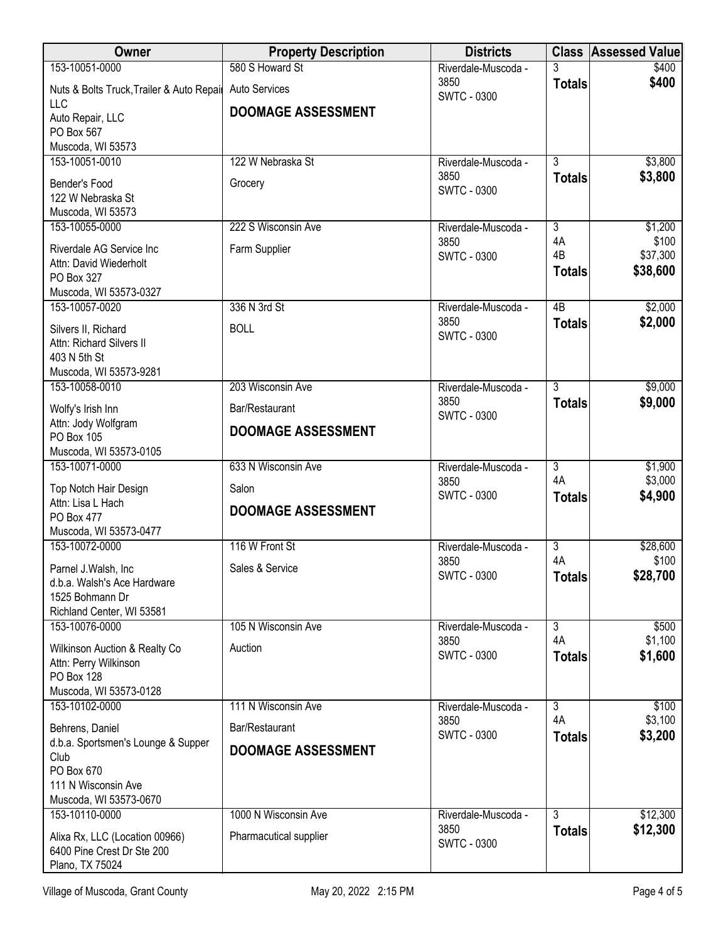| Owner                                     | <b>Property Description</b> | <b>Districts</b>           |                 | <b>Class Assessed Value</b> |
|-------------------------------------------|-----------------------------|----------------------------|-----------------|-----------------------------|
| 153-10051-0000                            | 580 S Howard St             | Riverdale-Muscoda -        |                 | \$400                       |
| Nuts & Bolts Truck, Trailer & Auto Repair | Auto Services               | 3850<br><b>SWTC - 0300</b> | <b>Totals</b>   | \$400                       |
| <b>LLC</b><br>Auto Repair, LLC            | <b>DOOMAGE ASSESSMENT</b>   |                            |                 |                             |
| PO Box 567                                |                             |                            |                 |                             |
| Muscoda, WI 53573                         |                             |                            |                 |                             |
| 153-10051-0010                            | 122 W Nebraska St           | Riverdale-Muscoda -        | $\overline{3}$  | \$3,800                     |
|                                           |                             | 3850                       | <b>Totals</b>   | \$3,800                     |
| Bender's Food                             | Grocery                     | <b>SWTC - 0300</b>         |                 |                             |
| 122 W Nebraska St                         |                             |                            |                 |                             |
| Muscoda, WI 53573<br>153-10055-0000       | 222 S Wisconsin Ave         | Riverdale-Muscoda -        | $\overline{3}$  | \$1,200                     |
|                                           |                             | 3850                       | 4A              | \$100                       |
| Riverdale AG Service Inc                  | Farm Supplier               | <b>SWTC - 0300</b>         | 4B              | \$37,300                    |
| Attn: David Wiederholt                    |                             |                            | <b>Totals</b>   | \$38,600                    |
| PO Box 327                                |                             |                            |                 |                             |
| Muscoda, WI 53573-0327                    |                             |                            |                 |                             |
| 153-10057-0020                            | 336 N 3rd St                | Riverdale-Muscoda -        | $\overline{AB}$ | \$2,000                     |
| Silvers II, Richard                       | <b>BOLL</b>                 | 3850<br><b>SWTC - 0300</b> | <b>Totals</b>   | \$2,000                     |
| Attn: Richard Silvers II                  |                             |                            |                 |                             |
| 403 N 5th St                              |                             |                            |                 |                             |
| Muscoda, WI 53573-9281                    |                             |                            |                 |                             |
| 153-10058-0010                            | 203 Wisconsin Ave           | Riverdale-Muscoda -        | $\overline{3}$  | \$9,000                     |
| Wolfy's Irish Inn                         | Bar/Restaurant              | 3850                       | <b>Totals</b>   | \$9,000                     |
| Attn: Jody Wolfgram                       |                             | <b>SWTC - 0300</b>         |                 |                             |
| PO Box 105                                | <b>DOOMAGE ASSESSMENT</b>   |                            |                 |                             |
| Muscoda, WI 53573-0105                    |                             |                            |                 |                             |
| 153-10071-0000                            | 633 N Wisconsin Ave         | Riverdale-Muscoda -        | $\overline{3}$  | \$1,900                     |
| Top Notch Hair Design                     | Salon                       | 3850                       | 4A              | \$3,000                     |
| Attn: Lisa L Hach                         |                             | <b>SWTC - 0300</b>         | <b>Totals</b>   | \$4,900                     |
| PO Box 477                                | <b>DOOMAGE ASSESSMENT</b>   |                            |                 |                             |
| Muscoda, WI 53573-0477                    |                             |                            |                 |                             |
| 153-10072-0000                            | 116 W Front St              | Riverdale-Muscoda -        | $\overline{3}$  | \$28,600                    |
| Parnel J.Walsh, Inc.                      | Sales & Service             | 3850                       | 4A              | \$100                       |
| d.b.a. Walsh's Ace Hardware               |                             | <b>SWTC - 0300</b>         | <b>Totals</b>   | \$28,700                    |
| 1525 Bohmann Dr                           |                             |                            |                 |                             |
| Richland Center, WI 53581                 |                             |                            |                 |                             |
| 153-10076-0000                            | 105 N Wisconsin Ave         | Riverdale-Muscoda -        | $\overline{3}$  | \$500                       |
| Wilkinson Auction & Realty Co             | Auction                     | 3850                       | 4A              | \$1,100                     |
| Attn: Perry Wilkinson                     |                             | <b>SWTC - 0300</b>         | <b>Totals</b>   | \$1,600                     |
| PO Box 128                                |                             |                            |                 |                             |
| Muscoda, WI 53573-0128                    |                             |                            |                 |                             |
| 153-10102-0000                            | 111 N Wisconsin Ave         | Riverdale-Muscoda -        | $\overline{3}$  | \$100                       |
| Behrens, Daniel                           | Bar/Restaurant              | 3850                       | 4A              | \$3,100                     |
| d.b.a. Sportsmen's Lounge & Supper        |                             | <b>SWTC - 0300</b>         | <b>Totals</b>   | \$3,200                     |
| Club                                      | <b>DOOMAGE ASSESSMENT</b>   |                            |                 |                             |
| PO Box 670                                |                             |                            |                 |                             |
| 111 N Wisconsin Ave                       |                             |                            |                 |                             |
| Muscoda, WI 53573-0670                    |                             |                            |                 |                             |
| 153-10110-0000                            | 1000 N Wisconsin Ave        | Riverdale-Muscoda -        | $\overline{3}$  | \$12,300                    |
| Alixa Rx, LLC (Location 00966)            | Pharmacutical supplier      | 3850                       | <b>Totals</b>   | \$12,300                    |
| 6400 Pine Crest Dr Ste 200                |                             | <b>SWTC - 0300</b>         |                 |                             |
| Plano, TX 75024                           |                             |                            |                 |                             |